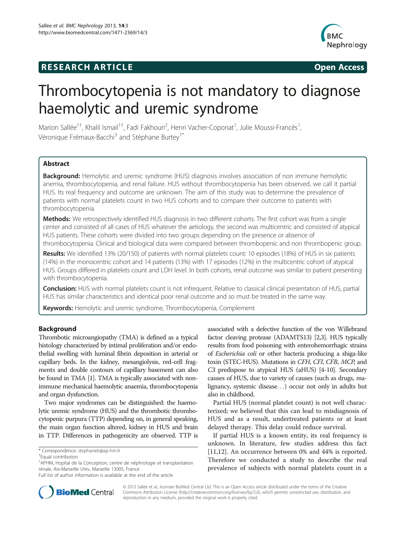# **RESEARCH ARTICLE Example 2014 CONSIDERING CONSIDERING CONSIDERING CONSIDERING CONSIDERING CONSIDERING CONSIDERING CONSIDERING CONSIDERING CONSIDERING CONSIDERING CONSIDERING CONSIDERING CONSIDERING CONSIDERING CONSIDE**



# Thrombocytopenia is not mandatory to diagnose haemolytic and uremic syndrome

Marion Sallée<sup>1†</sup>, Khalil Ismail<sup>1†</sup>, Fadi Fakhouri<sup>2</sup>, Henri Vacher-Coponat<sup>1</sup>, Julie Moussi-Francés<sup>1</sup> , Véronique Frémaux-Bacchi<sup>3</sup> and Stéphane Burtey<sup>1</sup><sup>\*</sup>

# Abstract

Background: Hemolytic and uremic syndrome (HUS) diagnosis involves association of non immune hemolytic anemia, thrombocytopenia, and renal failure. HUS without thrombocytopenia has been observed, we call it partial HUS. Its real frequency and outcome are unknown. The aim of this study was to determine the prevalence of patients with normal platelets count in two HUS cohorts and to compare their outcome to patients with thrombocytopenia.

Methods: We retrospectively identified HUS diagnosis in two different cohorts. The first cohort was from a single center and consisted of all cases of HUS whatever the aetiology, the second was multicentric and consisted of atypical HUS patients. These cohorts were divided into two groups depending on the presence or absence of thrombocytopenia. Clinical and biological data were compared between thrombopenic and non thrombopenic group.

Results: We identified 13% (20/150) of patients with normal platelets count: 10 episodes (18%) of HUS in six patients (14%) in the monocentric cohort and 14 patients (13%) with 17 episodes (12%) in the multicentric cohort of atypical HUS. Groups differed in platelets count and LDH level. In both cohorts, renal outcome was similar to patient presenting with thrombocytopenia.

Conclusion: HUS with normal platelets count is not infrequent. Relative to classical clinical presentation of HUS, partial HUS has similar characteristics and identical poor renal outcome and so must be treated in the same way.

Keywords: Hemolytic and uremic syndrome, Thrombocytopenia, Complement

# Background

Thrombotic microangiopathy (TMA) is defined as a typical histology characterized by intimal proliferation and/or endothelial swelling with luminal fibrin deposition in arterial or capillary beds. In the kidney, mesangiolysis, red-cell fragments and double contours of capillary basement can also be found in TMA [\[1](#page-4-0)]. TMA is typically associated with nonimmune mechanical haemolytic anaemia, thrombocytopenia and organ dysfunction.

Two major syndromes can be distinguished: the haemolytic uremic syndrome (HUS) and the thrombotic thrombocytopenic purpura (TTP) depending on, in general speaking, the main organ function altered, kidney in HUS and brain in TTP. Differences in pathogenicity are observed. TTP is

<sup>1</sup>APHM, Hopital de la Conception, centre de néphrologie et transplantation rénale, Aix-Marseille Univ, Marseille 13005, France

associated with a defective function of the von Willebrand factor cleaving protease (ADAMTS13) [\[2,3](#page-4-0)]. HUS typically results from food poisoning with enterohemorrhagic strains of Escherichia coli or other bacteria producing a shiga-like toxin (STEC-HUS). Mutations in CFH, CFI, CFB, MCP, and C3 predispose to atypical HUS (aHUS) [\[4](#page-4-0)[-10\]](#page-5-0). Secondary causes of HUS, due to variety of causes (such as drugs, malignancy, systemic disease...) occur not only in adults but also in childhood.

Partial HUS (normal platelet count) is not well characterized; we believed that this can lead to misdiagnosis of HUS and as a result, undertreated patients or at least delayed therapy. This delay could reduce survival.

If partial HUS is a known entity, its real frequency is unknown. In literature, few studies address this fact [[11,12\]](#page-5-0). An occurrence between 0% and 44% is reported. Therefore we conducted a study to describe the real prevalence of subjects with normal platelets count in a



© 2013 Sallée et al.; licensee BioMed Central Ltd. This is an Open Access article distributed under the terms of the Creative Commons Attribution License [\(http://creativecommons.org/licenses/by/2.0\)](http://creativecommons.org/licenses/by/2.0), which permits unrestricted use, distribution, and reproduction in any medium, provided the original work is properly cited.

<sup>\*</sup> Correspondence: [stephaneb@ap-hm.fr](mailto:stephaneb@ap-hm.fr) †

Equal contributors

Full list of author information is available at the end of the article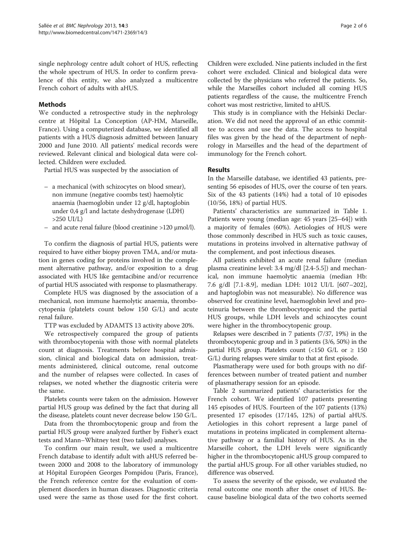single nephrology centre adult cohort of HUS, reflecting the whole spectrum of HUS. In order to confirm prevalence of this entity, we also analyzed a multicentre French cohort of adults with aHUS.

# Methods

We conducted a retrospective study in the nephrology centre at Hôpital La Conception (AP-HM, Marseille, France). Using a computerized database, we identified all patients with a HUS diagnosis admitted between January 2000 and June 2010. All patients' medical records were reviewed. Relevant clinical and biological data were collected. Children were excluded.

Partial HUS was suspected by the association of

- a mechanical (with schizocytes on blood smear), non immune (negative coombs test) haemolytic anaemia (haemoglobin under 12 g/dl, haptoglobin under 0,4 g/l and lactate deshydrogenase (LDH) >250 UI/L)
- and acute renal failure (blood creatinine >120 μmol/l).

To confirm the diagnosis of partial HUS, patients were required to have either biopsy proven TMA, and/or mutation in genes coding for proteins involved in the complement alternative pathway, and/or exposition to a drug associated with HUS like gemtacibine and/or recurrence of partial HUS associated with response to plasmatherapy.

Complete HUS was diagnosed by the association of a mechanical, non immune haemolytic anaemia, thrombocytopenia (platelets count below 150 G/L) and acute renal failure.

TTP was excluded by ADAMTS 13 activity above 20%.

We retrospectively compared the group of patients with thrombocytopenia with those with normal platelets count at diagnosis. Treatments before hospital admission, clinical and biological data on admission, treatments administered, clinical outcome, renal outcome and the number of relapses were collected. In cases of relapses, we noted whether the diagnostic criteria were the same.

Platelets counts were taken on the admission. However partial HUS group was defined by the fact that during all the disease, platelets count never decrease below 150 G/L.

Data from the thrombocytopenic group and from the partial HUS group were analyzed further by Fisher's exact tests and Mann–Whitney test (two tailed) analyses.

To confirm our main result, we used a multicentre French database to identify adult with aHUS referred between 2000 and 2008 to the laboratory of immunology at Hôpital Européen Georges Pompidou (Paris, France), the French reference centre for the evaluation of complement disorders in human diseases. Diagnostic criteria used were the same as those used for the first cohort.

Children were excluded. Nine patients included in the first cohort were excluded. Clinical and biological data were collected by the physicians who referred the patients. So, while the Marseilles cohort included all coming HUS patients regardless of the cause, the multicentre French cohort was most restrictive, limited to aHUS.

This study is in compliance with the Helsinki Declaration. We did not need the approval of an ethic committee to access and use the data. The access to hospital files was given by the head of the department of nephrology in Marseilles and the head of the department of immunology for the French cohort.

# Results

In the Marseille database, we identified 43 patients, presenting 56 episodes of HUS, over the course of ten years. Six of the 43 patients (14%) had a total of 10 episodes (10/56, 18%) of partial HUS.

Patients' characteristics are summarized in Table [1](#page-2-0). Patients were young (median age: 45 years [25–64]) with a majority of females (60%). Aetiologies of HUS were those commonly described in HUS such as toxic causes, mutations in proteins involved in alternative pathway of the complement, and post infectious diseases.

All patients exhibited an acute renal failure (median plasma creatinine level: 3.4 mg/dl [2.4-5.5]) and mechanical, non immune haemolytic anaemia (median Hb: 7.6 g/dl [7.1-8.9], median LDH: 1012 UI/L [607–202], and haptoglobin was not measurable). No difference was observed for creatinine level, haemoglobin level and proteinuria between the thrombocytopenic and the partial HUS groups, while LDH levels and schizocytes count were higher in the thrombocytopenic group.

Relapses were described in 7 patients (7/37, 19%) in the thrombocytopenic group and in 3 patients (3/6, 50%) in the partial HUS group. Platelets count (<150 G/L or  $\geq$  150 G/L) during relapses were similar to that at first episode.

Plasmatherapy were used for both groups with no differences between number of treated patient and number of plasmatherapy session for an episode.

Table [2](#page-3-0) summarized patients' characteristics for the French cohort. We identified 107 patients presenting 145 episodes of HUS. Fourteen of the 107 patients (13%) presented 17 episodes (17/145, 12%) of partial aHUS. Aetiologies in this cohort represent a large panel of mutations in proteins implicated in complement alternative pathway or a familial history of HUS. As in the Marseille cohort, the LDH levels were significantly higher in the thrombocytopenic aHUS group compared to the partial aHUS group. For all other variables studied, no difference was observed.

To assess the severity of the episode, we evaluated the renal outcome one month after the onset of HUS. Because baseline biological data of the two cohorts seemed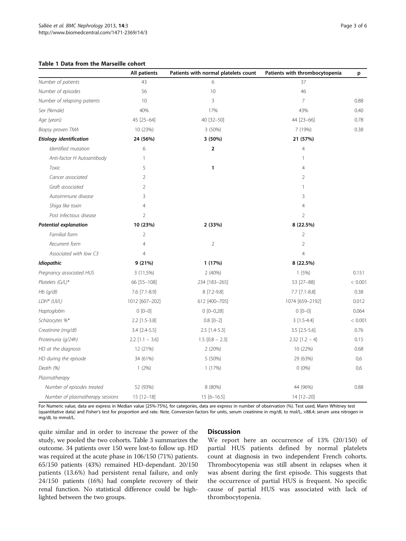## <span id="page-2-0"></span>Table 1 Data from the Marseille cohort

|                              | All patients      | Patients with normal platelets count | Patients with thrombocytopenia | p       |
|------------------------------|-------------------|--------------------------------------|--------------------------------|---------|
| Number of patients           | 43                | 6                                    | 37                             |         |
| Number of episodes           | 56                | 10                                   | 46                             |         |
| Number of relapsing patients | 10                | 3                                    | 7                              | 0.88    |
| Sex (%male)                  | 40%               | 17%                                  | 43%                            | 0.40    |
| Age (years)                  | 45 [25-64]        | 40 [32-50]                           | 44 [23-66]                     | 0.78    |
| Biopsy proven TMA            | 10 (23%)          | 3 (50%)                              | 7 (19%)                        | 0.38    |
| Etiology identification      | 24 (56%)          | 3(50%)                               | 21 (57%)                       |         |
| Identified mutation          | 6                 | 2                                    | 4                              |         |
| Anti-factor H Autoantibody   |                   |                                      | 1                              |         |
| Toxic                        | 5                 | 1                                    | $\overline{4}$                 |         |
| Cancer associated            | 2                 |                                      | $\overline{2}$                 |         |
| Graft associated             | 2                 |                                      | $\mathbf{1}$                   |         |
| Autoimmune disease           | 3                 |                                      | 3                              |         |
| Shiga like toxin             | 4                 |                                      | 4                              |         |
| Post infectious disease      | 2                 |                                      | 2                              |         |
| Potential explanation        | 10 (23%)          | 2 (33%)                              | 8 (22.5%)                      |         |
| Familial form                | $\overline{2}$    |                                      | $\overline{2}$                 |         |
| Recurrent form               | 4                 | $\overline{2}$                       | 2                              |         |
| Associated with low C3       | $\overline{4}$    |                                      | $\overline{4}$                 |         |
| <b>Idiopathic</b>            | 9(21%)            | 1(17%)                               | 8 (22.5%)                      |         |
| Pregnancy associated HUS     | 3 (11,5%)         | 2(40%)                               | 1(5%)                          | 0.151   |
| Platelets (G/L)*             | 66 [55-108]       | 234 [183-265]                        | 53 [27-88]                     | < 0.001 |
| Hb (q/dl)                    | 7.6 [7.1-8.9]     | 8 [7.2-9.8]                          | 7.7 [7.1-8.8]                  | 0.38    |
| LDH* (UI/L)                  | 1012 [607-202]    | 612 [400-705]                        | 1074 [659-2192]                | 0.012   |
| Haptoglobin                  | $0 [0 - 0]$       | $0 [0 - 0.28]$                       | $0 [0 - 0]$                    | 0.064   |
| Schizocytes %*               | $2.2$ [1.5-3.8]   | $0.8$ $[0-2]$                        | $3[1.5-4.4]$                   | < 0.001 |
| Creatinine (mg/dl)           | $3.4$ [2.4-5.5]   | 2.5 [1.4-5.3]                        | $3.5$ [2.5-5.6]                | 0.76    |
| Proteinuria (g/24h)          | $2.2$ [1.1 - 3.6] | $1.5$ [0.8 - 2.3]                    | $2.32$ $[1.2 - 4]$             | 0.15    |
| HD at the diagnosis          | 12 (21%)          | 2 (20%)                              | 10 (22%)                       | 0.68    |
| HD during the episode        | 34 (61%)          | 5 (50%)                              | 29 (63%)                       | 0,6     |

For Numeric value, data are express in Median value [25%-75%], for categories, data are express in number of observation (%). Test used, Mann Whitney test (quantitative data) and Fisher's test for proportion and rate. Note, Conversion factors for units, serum creatinine in mg/dL to mol/L, ×88.4; serum urea nitrogen in mg/dL to mmol/L.

Number of plasmatherapy sessions 15 [12–18] 15 [6–16.5] 15 [6–16.5] 14 [12–20]

Number of episodes treated 52 (93%) 8 (80%) 44 (96%) 0.88

Death (%) 1 (2%) 1 (17%) 1 (17%) 0 (0%) 0 (0%) 0 (6 0%)

quite similar and in order to increase the power of the study, we pooled the two cohorts. Table [3](#page-3-0) summarizes the outcome. 34 patients over 150 were lost-to follow up. HD was required at the acute phase in 106/150 (71%) patients. 65/150 patients (43%) remained HD-dependant. 20/150 patients (13.6%) had persistent renal failure, and only 24/150 patients (16%) had complete recovery of their renal function. No statistical difference could be highlighted between the two groups.

Plasmatherapy

# **Discussion**

We report here an occurrence of 13% (20/150) of partial HUS patients defined by normal platelets count at diagnosis in two independent French cohorts. Thrombocytopenia was still absent in relapses when it was absent during the first episode. This suggests that the occurrence of partial HUS is frequent. No specific cause of partial HUS was associated with lack of thrombocytopenia.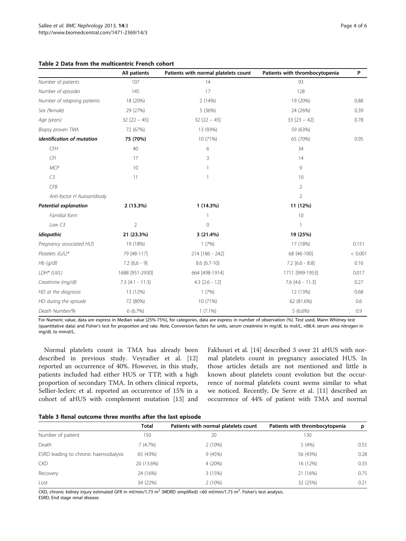|                              | All patients       | Patients with normal platelets count | Patients with thrombocytopenia | P       |
|------------------------------|--------------------|--------------------------------------|--------------------------------|---------|
| Number of patients           | 107                | 14                                   | 93                             |         |
| Number of episodes           | 145                | 17                                   | 128                            |         |
| Number of relapsing patients | 18 (20%)           | 2(14%)                               | 19 (20%)                       | 0.88    |
| Sex (%male)                  | 29 (27%)           | 5 (36%)                              | 24 (26%)                       | 0.39    |
| Age (years)                  | $32$ $[22 - 45]$   | $32 [22 - 45]$                       | $33 [23 - 42]$                 | 0.78    |
| Biopsy proven TMA            | 72 (67%)           | 13 (93%)                             | 59 (63%)                       |         |
| identification of mutation   | 75 (70%)           | 10 (71%)                             | 65 (70%)                       | 0.95    |
| <b>CFH</b>                   | 40                 | 6                                    | 34                             |         |
| CFI                          | 17                 | 3                                    | 14                             |         |
| <b>MCP</b>                   | 10                 | 1                                    | 9                              |         |
| C <sub>3</sub>               | 11                 | $\overline{1}$                       | 10                             |         |
| CFB                          |                    |                                      | $\overline{2}$                 |         |
| Anti-factor H Autoantibody   |                    |                                      | $\overline{2}$                 |         |
| <b>Potential explanation</b> | 2(13.3%)           | 1(14.3%)                             | 11 (12%)                       |         |
| Familial form                |                    | $\mathbf{1}$                         | 10                             |         |
| Low C3                       | 2                  | $\mathbf 0$                          | $\mathbf{1}$                   |         |
| <b>Idiopathic</b>            | 21 (23.3%)         | 3(21.4%)                             | 19 (25%)                       |         |
| Pregnancy associated HUS     | 19 (18%)           | 1(7%)                                | 17 (18%)                       | 0.151   |
| Platelets (G/L)*             | 79 [48-117]        | 214 [186 - 242]                      | 68 [46-100]                    | < 0.001 |
| $Hb$ ( $q/dl$ )              | $7.2$ [6,6 - 9]    | $8.6$ [6.7-10]                       | $7.2$ [6.6 - 8.8]              | 0.16    |
| LDH* (UI/L)                  | 1688 [951-2930]    | 664 [498-1914]                       | 1711 [999-1953]                | 0.017   |
| Creatinine (mg/dl)           | $7.3$ [4.1 - 11.3] | $4.3$ [2.6 - 12]                     | $7.6$ $[4.6 - 11.3]$           | 0.27    |
| HD at the diagnosis          | 13 (12%)           | 1(7%)                                | 12 (13%)                       | 0.68    |
| HD during the episode        | 72 (80%)           | 10 (71%)                             | 62 (81.6%)                     | 0.6     |
| Death Number/%               | 6(6.7%)            | $1(7.1\%)$                           | $5(6.6\%)$                     | 0.9     |

<span id="page-3-0"></span>

For Numeric value, data are express in Median value [25%-75%], for categories, data are express in number of observation (%). Test used, Mann Whitney test (quantitative data) and Fisher's test for proportion and rate. Note, Conversion factors for units, serum creatinine in mg/dL to mol/L, ×88.4; serum urea nitrogen in mg/dL to mmol/L.

Normal platelets count in TMA has already been described in previous study. Veyradier et al. [[12](#page-5-0)] reported an occurrence of 40%. However, in this study, patients included had either HUS or TTP, with a high proportion of secondary TMA. In others clinical reports, Sellier-leclerc et al. reported an occurrence of 15% in a cohort of aHUS with complement mutation [\[13\]](#page-5-0) and

Fakhouri et al. [[14\]](#page-5-0) described 3 over 21 aHUS with normal platelets count in pregnancy associated HUS. In those articles details are not mentioned and little is known about platelets count evolution but the occurrence of normal platelets count seems similar to what we noticed. Recently, De Serre et al. [\[11](#page-5-0)] described an occurrence of 44% of patient with TMA and normal

### Table 3 Renal outcome three months after the last episode

|                                       | <b>Total</b> | Patients with normal platelets count | Patients with thrombocytopenia | p    |
|---------------------------------------|--------------|--------------------------------------|--------------------------------|------|
| Number of patient                     | 150          | 20                                   | 130                            |      |
| Death                                 | 7(4.7%)      | 2(10%)                               | 5(4%)                          | 0.55 |
| ESRD leading to chronic haemodialysis | 65 (43%)     | 9(45%)                               | 56 (43%)                       | 0.28 |
| <b>CKD</b>                            | 20 (13.6%)   | 4 (20%)                              | 16 (12%)                       | 0.33 |
| Recovery                              | 24 (16%)     | 3(15%)                               | 21 (16%)                       | 0.75 |
| Lost                                  | 34 (22%)     | 2(10%)                               | 32 (25%)                       | 0.21 |

CKD, chronic kidney injury estimated GFR in ml/min/1.73  $m^2$  (MDRD simplified) <60 ml/min/1.73  $m^2$ . Fisher's test analysis. ESRD, End stage renal disease.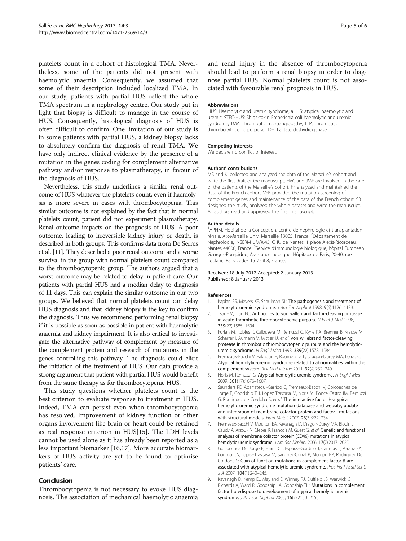<span id="page-4-0"></span>platelets count in a cohort of histological TMA. Nevertheless, some of the patients did not present with haemolytic anaemia. Consequently, we assumed that some of their description included localized TMA. In our study, patients with partial HUS reflect the whole TMA spectrum in a nephrology centre. Our study put in light that biopsy is difficult to manage in the course of HUS. Consequently, histological diagnosis of HUS is often difficult to confirm. One limitation of our study is in some patients with partial HUS, a kidney biopsy lacks to absolutely confirm the diagnosis of renal TMA. We have only indirect clinical evidence by the presence of a mutation in the genes coding for complement alternative pathway and/or response to plasmatherapy, in favour of the diagnosis of HUS.

Nevertheless, this study underlines a similar renal outcome of HUS whatever the platelets count, even if haemolysis is more severe in cases with thrombocytopenia. This similar outcome is not explained by the fact that in normal platelets count, patient did not experiment plasmatherapy. Renal outcome impacts on the prognosis of HUS. A poor outcome, leading to irreversible kidney injury or death, is described in both groups. This confirms data from De Serres et al. [\[11\]](#page-5-0). They described a poor renal outcome and a worse survival in the group with normal platelets count compared to the thrombocytopenic group. The authors argued that a worst outcome may be related to delay in patient care. Our patients with partial HUS had a median delay to diagnosis of 11 days. This can explain the similar outcome in our two groups. We believed that normal platelets count can delay HUS diagnosis and that kidney biopsy is the key to confirm the diagnosis. Thus we recommend performing renal biopsy if it is possible as soon as possible in patient with haemolytic anaemia and kidney impairment. It is also critical to investigate the alternative pathway of complement by measure of the complement protein and research of mutations in the genes controlling this pathway. The diagnosis could elicit the initiation of the treatment of HUS. Our data provide a strong argument that patient with partial HUS would benefit from the same therapy as for thrombocytopenic HUS.

This study questions whether platelets count is the best criterion to evaluate response to treatment in HUS. Indeed, TMA can persist even when thrombocytopenia has resolved. Improvement of kidney function or other organs involvement like brain or heart could be retained as real response criterion in HUS[[15](#page-5-0)]. The LDH levels cannot be used alone as it has already been reported as a less important biomarker [[16,17\]](#page-5-0). More accurate biomarkers of HUS activity are yet to be found to optimise patients' care.

# Conclusion

Thrombocytopenia is not necessary to evoke HUS diagnosis. The association of mechanical haemolytic anaemia

#### Abbreviations

HUS: Haemolytic and uremic syndrome; aHUS: atypical haemolytic and uremic; STEC-HUS: Shiga-toxin Escherichia coli haemolytic and uremic syndrome; TMA: Thrombotic microangiopathy; TTP: Thrombotic thrombocytopenic purpura; LDH: Lactate deshydrogenase.

#### Competing interests

We declare no conflict of interest.

#### Authors' contributions

MS and KI collected and analyzed the data of the Marseille's cohort and write the first draft of the manuscript, HVC and JMF are involved in the care of the patients of the Marseille's cohort, FF analyzed and maintained the data of the French cohort, VFB provided the mutation screening of complement genes and maintenance of the data of the French cohort, SB designed the study, analyzed the whole dataset and write the manuscript. All authors read and approved the final manuscript.

#### Author details

<sup>1</sup>APHM, Hopital de la Conception, centre de néphrologie et transplantation rénale, Aix-Marseille Univ, Marseille 13005, France. <sup>2</sup>Département de Nephrologie, INSERM UMR643, CHU de Nantes, 1 place Alexis-Ricordeau, Nantes 44000, France. <sup>3</sup>Service d'immunologie biologique, hôpital Européen Georges-Pompidou, Assistance publique–Hôpitaux de Paris, 20-40, rue Leblanc, Paris cedex 15 75908, France.

### Received: 18 July 2012 Accepted: 2 January 2013 Published: 8 January 2013

#### References

- 1. Kaplan BS, Meyers KE, Schulman SL: The pathogenesis and treatment of hemolytic uremic syndrome. J Am Soc Nephrol 1998, 9(6):1126-1133.
- 2. Tsai HM, Lian EC: Antibodies to von willebrand factor-cleaving protease in acute thrombotic thrombocytopenic purpura. N Engl J Med 1998, 339(22):1585–1594.
- 3. Furlan M, Robles R, Galbusera M, Remuzzi G, Kyrle PA, Brenner B, Krause M, Scharrer I, Aumann V, Mittler U, et al: von willebrand factor-cleaving protease in thrombotic thrombocytopenic purpura and the hemolyticuremic syndrome. N Engl J Med 1998, 339(22):1578–1584.
- 4. Fremeaux-Bacchi V, Fakhouri F, Roumenina L, Dragon-Durey MA, Loirat C: Atypical hemolytic-uremic syndrome related to abnormalities within the complement system. Rev Med Interne 2011, 32(4):232–240.
- 5. Noris M, Remuzzi G: Atypical hemolytic-uremic syndrome. N Engl J Med 2009, 361(17):1676–1687.
- 6. Saunders RE, Abarrategui-Garrido C, Fremeaux-Bacchi V, Goicoechea de Jorge E, Goodship TH, Lopez Trascasa M, Noris M, Ponce Castro IM, Remuzzi G, Rodriguez de Cordoba S, et al: The interactive factor H-atypical hemolytic uremic syndrome mutation database and website, update and integration of membrane cofactor protein and factor I mutations with structural models. Hum Mutat 2007, 28(3):222–234.
- 7. Fremeaux-Bacchi V, Moulton EA, Kavanagh D, Dragon-Durey MA, Blouin J, Caudy A, Arzouk N, Cleper R, Francois M, Guest G, et al: Genetic and functional analyses of membrane cofactor protein (CD46) mutations in atypical hemolytic uremic syndrome. J Am Soc Nephrol 2006, 17(7):2017–2025.
- 8. Goicoechea De Jorge E, Harris CL, Esparza-Gordillo J, Carreras L, Arranz EA, Garrido CA, Lopez-Trascasa M, Sanchez-Corral P, Morgan BP, Rodriguez De Cordoba S: Gain-of-function mutations in complement factor B are associated with atypical hemolytic uremic syndrome. Proc Natl Acad Sci U S A 2007, **104**(1):240-245.
- 9. Kavanagh D, Kemp EJ, Mayland E, Winney RJ, Duffield JS, Warwick G, Richards A, Ward R, Goodship JA, Goodship TH: Mutations in complement factor I predispose to development of atypical hemolytic uremic syndrome. J Am Soc Nephrol 2005, 16(7):2150-2155.